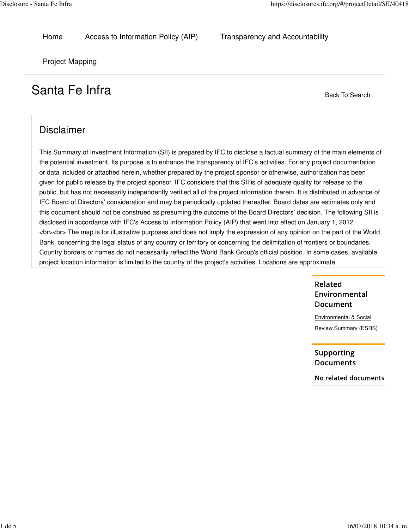Home Access to Information Policy (AIP) Transparency and Accountability

Project Mapping

# Santa Fe Infra Back To Search

# Disclaimer

This Summary of Investment Information (SII) is prepared by IFC to disclose a factual summary of the main elements of the potential investment. Its purpose is to enhance the transparency of IFC's activities. For any project documentation or data included or attached herein, whether prepared by the project sponsor or otherwise, authorization has been given for public release by the project sponsor. IFC considers that this SII is of adequate quality for release to the public, but has not necessarily independently verified all of the project information therein. It is distributed in advance of IFC Board of Directors' consideration and may be periodically updated thereafter. Board dates are estimates only and this document should not be construed as presuming the outcome of the Board Directors' decision. The following SII is disclosed in accordance with IFC's Access to Information Policy (AIP) that went into effect on January 1, 2012. <br><br> The map is for illustrative purposes and does not imply the expression of any opinion on the part of the World Bank, concerning the legal status of any country or territory or concerning the delimitation of frontiers or boundaries. Country borders or names do not necessarily reflect the World Bank Group's official position. In some cases, available project location information is limited to the country of the project's activities. Locations are approximate.

## Related Environmental **Document**

Environmental & Social Review Summary (ESRS)

Supporting **Documents** 

No related documents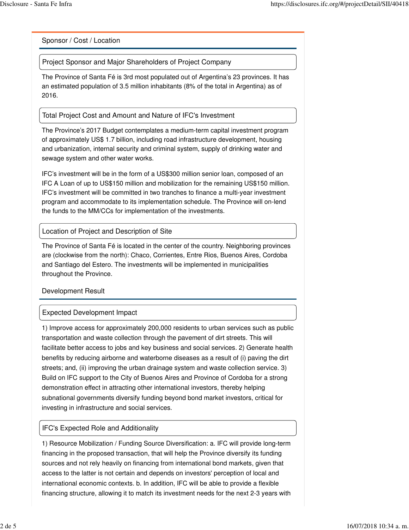Sponsor / Cost / Location

Project Sponsor and Major Shareholders of Project Company

The Province of Santa Fé is 3rd most populated out of Argentina's 23 provinces. It has an estimated population of 3.5 million inhabitants (8% of the total in Argentina) as of 2016.

Total Project Cost and Amount and Nature of IFC's Investment

The Province's 2017 Budget contemplates a medium-term capital investment program of approximately US\$ 1.7 billion, including road infrastructure development, housing and urbanization, internal security and criminal system, supply of drinking water and sewage system and other water works.

IFC's investment will be in the form of a US\$300 million senior loan, composed of an IFC A Loan of up to US\$150 million and mobilization for the remaining US\$150 million. IFC's investment will be committed in two tranches to finance a multi-year investment program and accommodate to its implementation schedule. The Province will on-lend the funds to the MM/CCs for implementation of the investments.

#### Location of Project and Description of Site

The Province of Santa Fé is located in the center of the country. Neighboring provinces are (clockwise from the north): Chaco, Corrientes, Entre Rios, Buenos Aires, Cordoba and Santiago del Estero. The investments will be implemented in municipalities throughout the Province.

Development Result

#### Expected Development Impact

1) Improve access for approximately 200,000 residents to urban services such as public transportation and waste collection through the pavement of dirt streets. This will facilitate better access to jobs and key business and social services. 2) Generate health benefits by reducing airborne and waterborne diseases as a result of (i) paving the dirt streets; and, (ii) improving the urban drainage system and waste collection service. 3) Build on IFC support to the City of Buenos Aires and Province of Cordoba for a strong demonstration effect in attracting other international investors, thereby helping subnational governments diversify funding beyond bond market investors, critical for investing in infrastructure and social services.

#### IFC's Expected Role and Additionality

1) Resource Mobilization / Funding Source Diversification: a. IFC will provide long-term financing in the proposed transaction, that will help the Province diversify its funding sources and not rely heavily on financing from international bond markets, given that access to the latter is not certain and depends on investors' perception of local and international economic contexts. b. In addition, IFC will be able to provide a flexible financing structure, allowing it to match its investment needs for the next 2-3 years with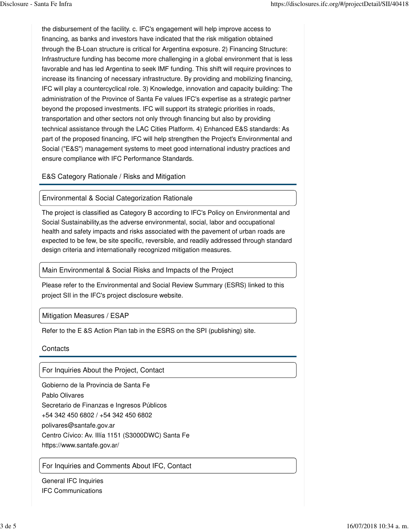the disbursement of the facility. c. IFC's engagement will help improve access to financing, as banks and investors have indicated that the risk mitigation obtained through the B-Loan structure is critical for Argentina exposure. 2) Financing Structure: Infrastructure funding has become more challenging in a global environment that is less favorable and has led Argentina to seek IMF funding. This shift will require provinces to increase its financing of necessary infrastructure. By providing and mobilizing financing, IFC will play a countercyclical role. 3) Knowledge, innovation and capacity building: The administration of the Province of Santa Fe values IFC's expertise as a strategic partner beyond the proposed investments. IFC will support its strategic priorities in roads, transportation and other sectors not only through financing but also by providing technical assistance through the LAC Cities Platform. 4) Enhanced E&S standards: As part of the proposed financing, IFC will help strengthen the Project's Environmental and Social ("E&S") management systems to meet good international industry practices and ensure compliance with IFC Performance Standards.

E&S Category Rationale / Risks and Mitigation

#### Environmental & Social Categorization Rationale

The project is classified as Category B according to IFC's Policy on Environmental and Social Sustainability,as the adverse environmental, social, labor and occupational health and safety impacts and risks associated with the pavement of urban roads are expected to be few, be site specific, reversible, and readily addressed through standard design criteria and internationally recognized mitigation measures.

#### Main Environmental & Social Risks and Impacts of the Project

Please refer to the Environmental and Social Review Summary (ESRS) linked to this project SII in the IFC's project disclosure website.

#### Mitigation Measures / ESAP

Refer to the E &S Action Plan tab in the ESRS on the SPI (publishing) site.

**Contacts** 

For Inquiries About the Project, Contact

Gobierno de la Provincia de Santa Fe Pablo Olivares Secretario de Finanzas e Ingresos Públicos +54 342 450 6802 / +54 342 450 6802 polivares@santafe.gov.ar Centro Cívico: Av. Illía 1151 (S3000DWC) Santa Fe https://www.santafe.gov.ar/

For Inquiries and Comments About IFC, Contact

General IFC Inquiries IFC Communications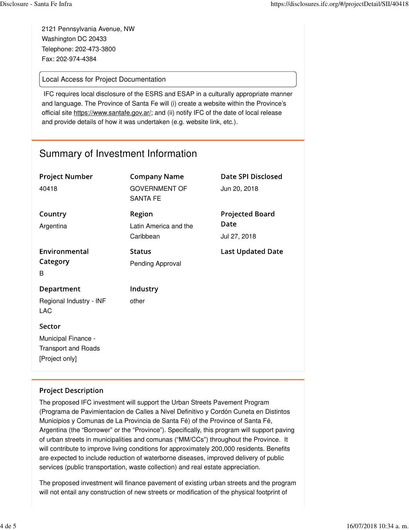2121 Pennsylvania Avenue, NW Washington DC 20433 Telephone: 202-473-3800 Fax: 202-974-4384

### Local Access for Project Documentation

IFC requires local disclosure of the ESRS and ESAP in a culturally appropriate manner and language. The Province of Santa Fe will (i) create a website within the Province's official site https://www.santafe.gov.ar/; and (ii) notify IFC of the date of local release and provide details of how it was undertaken (e.g. website link, etc.).

# Summary of Investment Information

| <b>Project Number</b><br>40418                                                | <b>Company Name</b><br><b>GOVERNMENT OF</b><br><b>SANTA FE</b> | <b>Date SPI Disclosed</b><br>Jun 20, 2018      |
|-------------------------------------------------------------------------------|----------------------------------------------------------------|------------------------------------------------|
| Country<br>Argentina                                                          | Region<br>Latin America and the<br>Caribbean                   | <b>Projected Board</b><br>Date<br>Jul 27, 2018 |
| Environmental<br>Category<br>B                                                | <b>Status</b><br>Pending Approval                              | <b>Last Updated Date</b>                       |
| Department<br>Regional Industry - INF<br><b>LAC</b>                           | Industry<br>other                                              |                                                |
| Sector<br>Municipal Finance -<br><b>Transport and Roads</b><br>[Project only] |                                                                |                                                |

### **Project Description**

The proposed IFC investment will support the Urban Streets Pavement Program (Programa de Pavimientacion de Calles a Nivel Definitivo y Cordón Cuneta en Distintos Municipios y Comunas de La Provincia de Santa Fé) of the Province of Santa Fé, Argentina (the "Borrower" or the "Province"). Specifically, this program will support paving of urban streets in municipalities and comunas ("MM/CCs") throughout the Province. It will contribute to improve living conditions for approximately 200,000 residents. Benefits are expected to include reduction of waterborne diseases, improved delivery of public services (public transportation, waste collection) and real estate appreciation.

The proposed investment will finance pavement of existing urban streets and the program will not entail any construction of new streets or modification of the physical footprint of